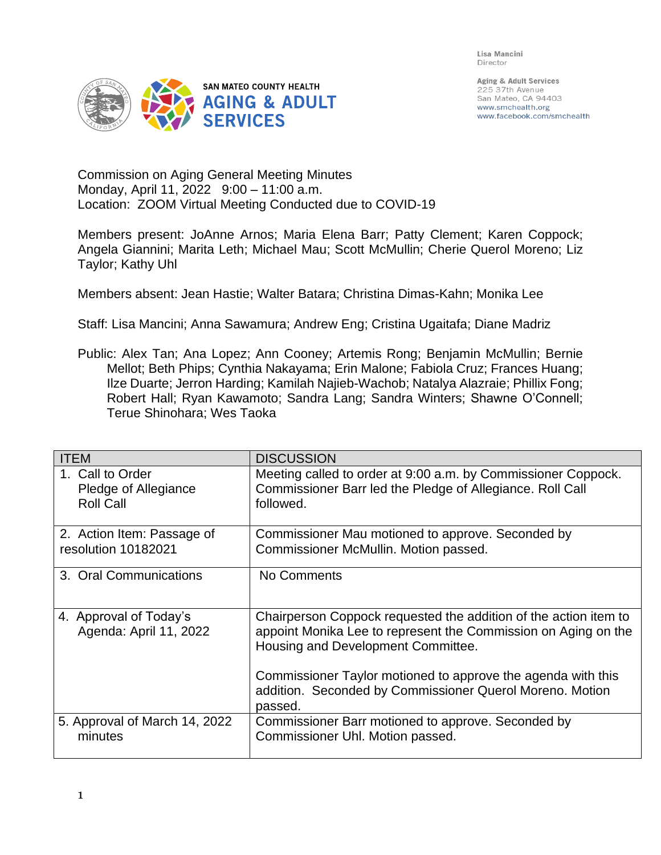Lisa Mancini Director



Aging & Adult Services 225 37th Avenue San Mateo, CA 94403 www.smchealth.org www.facebook.com/smchealth

Commission on Aging General Meeting Minutes Monday, April 11, 2022 9:00 – 11:00 a.m. Location: ZOOM Virtual Meeting Conducted due to COVID-19

Members present: JoAnne Arnos; Maria Elena Barr; Patty Clement; Karen Coppock; Angela Giannini; Marita Leth; Michael Mau; Scott McMullin; Cherie Querol Moreno; Liz Taylor; Kathy Uhl

Members absent: Jean Hastie; Walter Batara; Christina Dimas-Kahn; Monika Lee

Staff: Lisa Mancini; Anna Sawamura; Andrew Eng; Cristina Ugaitafa; Diane Madriz

Public: Alex Tan; Ana Lopez; Ann Cooney; Artemis Rong; Benjamin McMullin; Bernie Mellot; Beth Phips; Cynthia Nakayama; Erin Malone; Fabiola Cruz; Frances Huang; Ilze Duarte; Jerron Harding; Kamilah Najieb-Wachob; Natalya Alazraie; Phillix Fong; Robert Hall; Ryan Kawamoto; Sandra Lang; Sandra Winters; Shawne O'Connell; Terue Shinohara; Wes Taoka

| <b>ITEM</b>                                                  | <b>DISCUSSION</b>                                                                                                                                                        |
|--------------------------------------------------------------|--------------------------------------------------------------------------------------------------------------------------------------------------------------------------|
| 1. Call to Order<br>Pledge of Allegiance<br><b>Roll Call</b> | Meeting called to order at 9:00 a.m. by Commissioner Coppock.<br>Commissioner Barr led the Pledge of Allegiance. Roll Call<br>followed.                                  |
| 2. Action Item: Passage of<br>resolution 10182021            | Commissioner Mau motioned to approve. Seconded by<br>Commissioner McMullin. Motion passed.                                                                               |
| 3. Oral Communications                                       | No Comments                                                                                                                                                              |
| 4. Approval of Today's<br>Agenda: April 11, 2022             | Chairperson Coppock requested the addition of the action item to<br>appoint Monika Lee to represent the Commission on Aging on the<br>Housing and Development Committee. |
|                                                              | Commissioner Taylor motioned to approve the agenda with this<br>addition. Seconded by Commissioner Querol Moreno. Motion<br>passed.                                      |
| 5. Approval of March 14, 2022<br>minutes                     | Commissioner Barr motioned to approve. Seconded by<br>Commissioner Uhl. Motion passed.                                                                                   |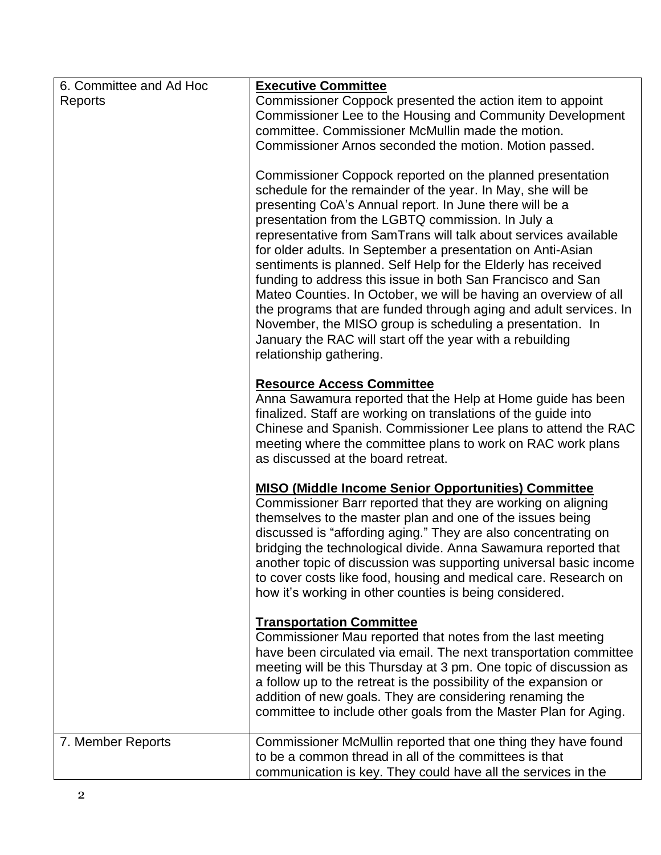| 6. Committee and Ad Hoc<br>Reports | <b>Executive Committee</b><br>Commissioner Coppock presented the action item to appoint<br>Commissioner Lee to the Housing and Community Development<br>committee. Commissioner McMullin made the motion.<br>Commissioner Arnos seconded the motion. Motion passed.<br>Commissioner Coppock reported on the planned presentation<br>schedule for the remainder of the year. In May, she will be<br>presenting CoA's Annual report. In June there will be a<br>presentation from the LGBTQ commission. In July a<br>representative from SamTrans will talk about services available<br>for older adults. In September a presentation on Anti-Asian<br>sentiments is planned. Self Help for the Elderly has received<br>funding to address this issue in both San Francisco and San |
|------------------------------------|-----------------------------------------------------------------------------------------------------------------------------------------------------------------------------------------------------------------------------------------------------------------------------------------------------------------------------------------------------------------------------------------------------------------------------------------------------------------------------------------------------------------------------------------------------------------------------------------------------------------------------------------------------------------------------------------------------------------------------------------------------------------------------------|
|                                    | Mateo Counties. In October, we will be having an overview of all<br>the programs that are funded through aging and adult services. In<br>November, the MISO group is scheduling a presentation. In<br>January the RAC will start off the year with a rebuilding<br>relationship gathering.                                                                                                                                                                                                                                                                                                                                                                                                                                                                                        |
|                                    | <b>Resource Access Committee</b><br>Anna Sawamura reported that the Help at Home guide has been<br>finalized. Staff are working on translations of the guide into<br>Chinese and Spanish. Commissioner Lee plans to attend the RAC<br>meeting where the committee plans to work on RAC work plans<br>as discussed at the board retreat.                                                                                                                                                                                                                                                                                                                                                                                                                                           |
|                                    | <b>MISO (Middle Income Senior Opportunities) Committee</b><br>Commissioner Barr reported that they are working on aligning<br>themselves to the master plan and one of the issues being<br>discussed is "affording aging." They are also concentrating on<br>bridging the technological divide. Anna Sawamura reported that<br>another topic of discussion was supporting universal basic income<br>to cover costs like food, housing and medical care. Research on<br>how it's working in other counties is being considered.                                                                                                                                                                                                                                                    |
|                                    | <b>Transportation Committee</b><br>Commissioner Mau reported that notes from the last meeting<br>have been circulated via email. The next transportation committee<br>meeting will be this Thursday at 3 pm. One topic of discussion as<br>a follow up to the retreat is the possibility of the expansion or<br>addition of new goals. They are considering renaming the<br>committee to include other goals from the Master Plan for Aging.                                                                                                                                                                                                                                                                                                                                      |
| 7. Member Reports                  | Commissioner McMullin reported that one thing they have found<br>to be a common thread in all of the committees is that<br>communication is key. They could have all the services in the                                                                                                                                                                                                                                                                                                                                                                                                                                                                                                                                                                                          |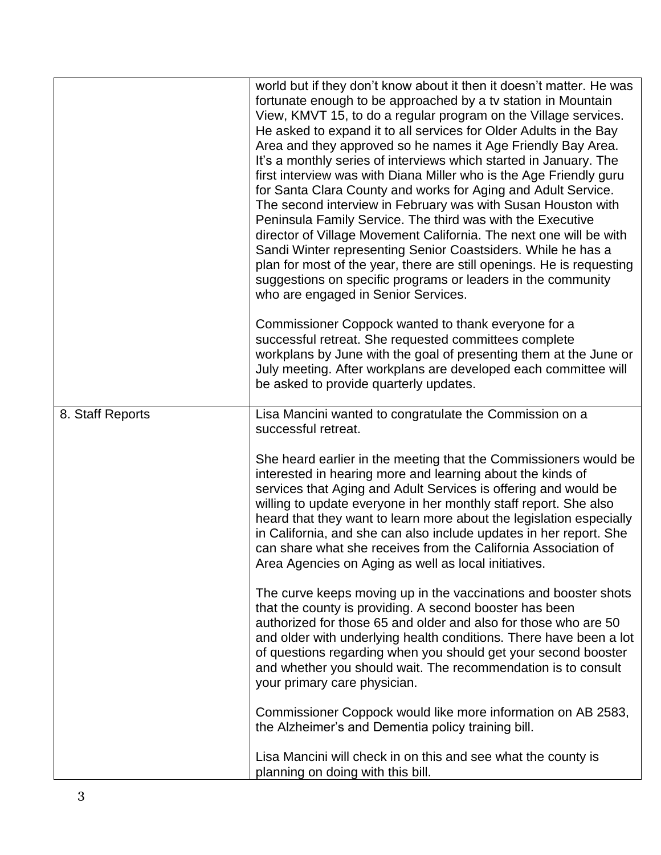|                  | world but if they don't know about it then it doesn't matter. He was<br>fortunate enough to be approached by a tv station in Mountain<br>View, KMVT 15, to do a regular program on the Village services.<br>He asked to expand it to all services for Older Adults in the Bay<br>Area and they approved so he names it Age Friendly Bay Area.<br>It's a monthly series of interviews which started in January. The<br>first interview was with Diana Miller who is the Age Friendly guru<br>for Santa Clara County and works for Aging and Adult Service.<br>The second interview in February was with Susan Houston with<br>Peninsula Family Service. The third was with the Executive<br>director of Village Movement California. The next one will be with<br>Sandi Winter representing Senior Coastsiders. While he has a<br>plan for most of the year, there are still openings. He is requesting<br>suggestions on specific programs or leaders in the community<br>who are engaged in Senior Services. |
|------------------|---------------------------------------------------------------------------------------------------------------------------------------------------------------------------------------------------------------------------------------------------------------------------------------------------------------------------------------------------------------------------------------------------------------------------------------------------------------------------------------------------------------------------------------------------------------------------------------------------------------------------------------------------------------------------------------------------------------------------------------------------------------------------------------------------------------------------------------------------------------------------------------------------------------------------------------------------------------------------------------------------------------|
|                  | Commissioner Coppock wanted to thank everyone for a<br>successful retreat. She requested committees complete<br>workplans by June with the goal of presenting them at the June or<br>July meeting. After workplans are developed each committee will<br>be asked to provide quarterly updates.                                                                                                                                                                                                                                                                                                                                                                                                                                                                                                                                                                                                                                                                                                                |
| 8. Staff Reports | Lisa Mancini wanted to congratulate the Commission on a<br>successful retreat.                                                                                                                                                                                                                                                                                                                                                                                                                                                                                                                                                                                                                                                                                                                                                                                                                                                                                                                                |
|                  | She heard earlier in the meeting that the Commissioners would be<br>interested in hearing more and learning about the kinds of<br>services that Aging and Adult Services is offering and would be<br>willing to update everyone in her monthly staff report. She also<br>heard that they want to learn more about the legislation especially<br>in California, and she can also include updates in her report. She<br>can share what she receives from the California Association of<br>Area Agencies on Aging as well as local initiatives.                                                                                                                                                                                                                                                                                                                                                                                                                                                                  |
|                  | The curve keeps moving up in the vaccinations and booster shots<br>that the county is providing. A second booster has been<br>authorized for those 65 and older and also for those who are 50<br>and older with underlying health conditions. There have been a lot<br>of questions regarding when you should get your second booster<br>and whether you should wait. The recommendation is to consult<br>your primary care physician.                                                                                                                                                                                                                                                                                                                                                                                                                                                                                                                                                                        |
|                  | Commissioner Coppock would like more information on AB 2583,<br>the Alzheimer's and Dementia policy training bill.                                                                                                                                                                                                                                                                                                                                                                                                                                                                                                                                                                                                                                                                                                                                                                                                                                                                                            |
|                  | Lisa Mancini will check in on this and see what the county is<br>planning on doing with this bill.                                                                                                                                                                                                                                                                                                                                                                                                                                                                                                                                                                                                                                                                                                                                                                                                                                                                                                            |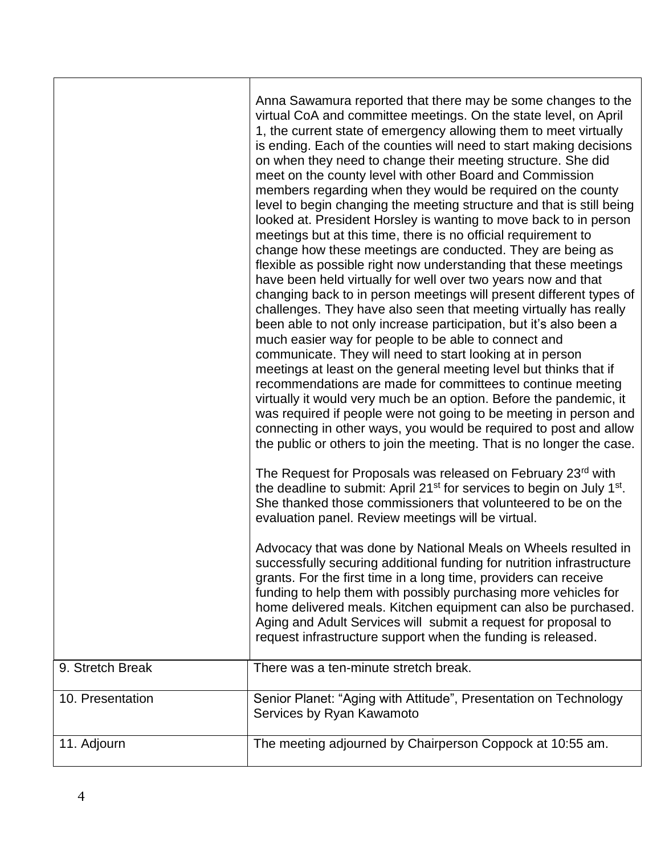|                  | Anna Sawamura reported that there may be some changes to the<br>virtual CoA and committee meetings. On the state level, on April<br>1, the current state of emergency allowing them to meet virtually<br>is ending. Each of the counties will need to start making decisions<br>on when they need to change their meeting structure. She did<br>meet on the county level with other Board and Commission<br>members regarding when they would be required on the county<br>level to begin changing the meeting structure and that is still being<br>looked at. President Horsley is wanting to move back to in person<br>meetings but at this time, there is no official requirement to<br>change how these meetings are conducted. They are being as<br>flexible as possible right now understanding that these meetings<br>have been held virtually for well over two years now and that<br>changing back to in person meetings will present different types of<br>challenges. They have also seen that meeting virtually has really<br>been able to not only increase participation, but it's also been a<br>much easier way for people to be able to connect and<br>communicate. They will need to start looking at in person<br>meetings at least on the general meeting level but thinks that if<br>recommendations are made for committees to continue meeting<br>virtually it would very much be an option. Before the pandemic, it<br>was required if people were not going to be meeting in person and<br>connecting in other ways, you would be required to post and allow<br>the public or others to join the meeting. That is no longer the case.<br>The Request for Proposals was released on February 23rd with<br>the deadline to submit: April 21 <sup>st</sup> for services to begin on July 1 <sup>st</sup> .<br>She thanked those commissioners that volunteered to be on the<br>evaluation panel. Review meetings will be virtual.<br>Advocacy that was done by National Meals on Wheels resulted in<br>successfully securing additional funding for nutrition infrastructure<br>grants. For the first time in a long time, providers can receive<br>funding to help them with possibly purchasing more vehicles for<br>home delivered meals. Kitchen equipment can also be purchased.<br>Aging and Adult Services will submit a request for proposal to<br>request infrastructure support when the funding is released. |
|------------------|-----------------------------------------------------------------------------------------------------------------------------------------------------------------------------------------------------------------------------------------------------------------------------------------------------------------------------------------------------------------------------------------------------------------------------------------------------------------------------------------------------------------------------------------------------------------------------------------------------------------------------------------------------------------------------------------------------------------------------------------------------------------------------------------------------------------------------------------------------------------------------------------------------------------------------------------------------------------------------------------------------------------------------------------------------------------------------------------------------------------------------------------------------------------------------------------------------------------------------------------------------------------------------------------------------------------------------------------------------------------------------------------------------------------------------------------------------------------------------------------------------------------------------------------------------------------------------------------------------------------------------------------------------------------------------------------------------------------------------------------------------------------------------------------------------------------------------------------------------------------------------------------------------------------------------------------------------------------------------------------------------------------------------------------------------------------------------------------------------------------------------------------------------------------------------------------------------------------------------------------------------------------------------------------------------------------------------------------------------------------------------------------------------------------------------------------------|
| 9. Stretch Break | There was a ten-minute stretch break.                                                                                                                                                                                                                                                                                                                                                                                                                                                                                                                                                                                                                                                                                                                                                                                                                                                                                                                                                                                                                                                                                                                                                                                                                                                                                                                                                                                                                                                                                                                                                                                                                                                                                                                                                                                                                                                                                                                                                                                                                                                                                                                                                                                                                                                                                                                                                                                                         |
| 10. Presentation | Senior Planet: "Aging with Attitude", Presentation on Technology<br>Services by Ryan Kawamoto                                                                                                                                                                                                                                                                                                                                                                                                                                                                                                                                                                                                                                                                                                                                                                                                                                                                                                                                                                                                                                                                                                                                                                                                                                                                                                                                                                                                                                                                                                                                                                                                                                                                                                                                                                                                                                                                                                                                                                                                                                                                                                                                                                                                                                                                                                                                                 |
| 11. Adjourn      | The meeting adjourned by Chairperson Coppock at 10:55 am.                                                                                                                                                                                                                                                                                                                                                                                                                                                                                                                                                                                                                                                                                                                                                                                                                                                                                                                                                                                                                                                                                                                                                                                                                                                                                                                                                                                                                                                                                                                                                                                                                                                                                                                                                                                                                                                                                                                                                                                                                                                                                                                                                                                                                                                                                                                                                                                     |

T

Г